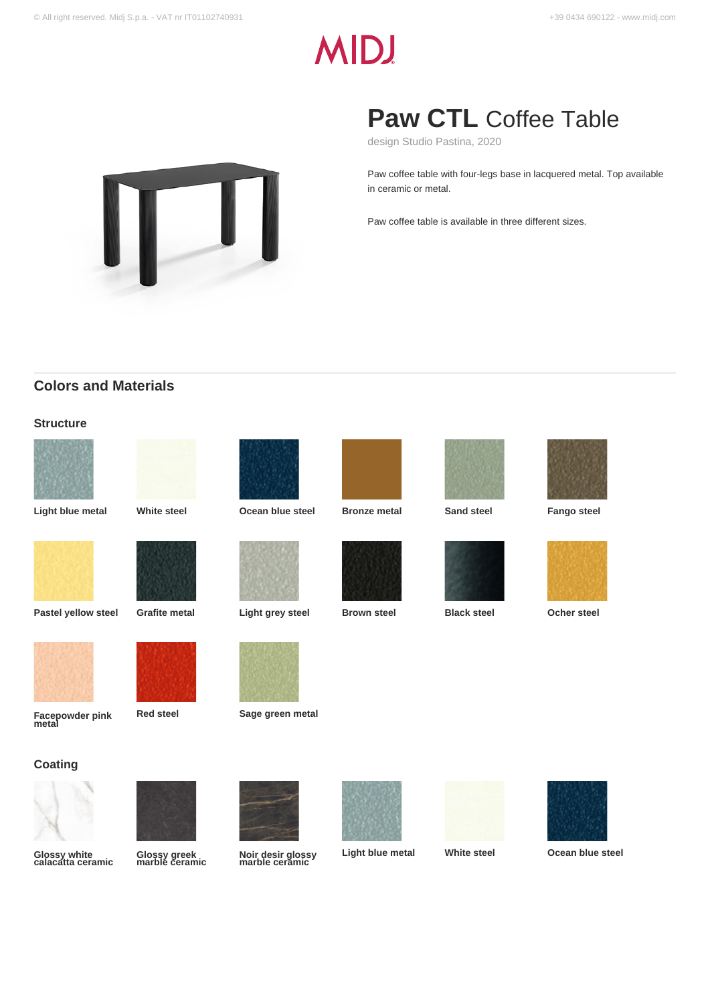# **MIDJ**



# **Paw CTL** Coffee Table

design Studio Pastina, 2020

Paw coffee table with four-legs base in lacquered metal. Top available in ceramic or metal.

Paw coffee table is available in three different sizes.

# **Colors and Materials**

#### **Structure**









**Pastel yellow steel Grafite metal Light grey steel Brown steel Black steel Ocher steel**





**Facepowder pink metal**

**Red steel Sage green metal**

#### **Coating**



**Glossy white calacatta ceramic**



## **Glossy greek marble ceramic**

















**Noir desir glossy marble ceramic**









**Light blue metal White steel Ocean blue steel**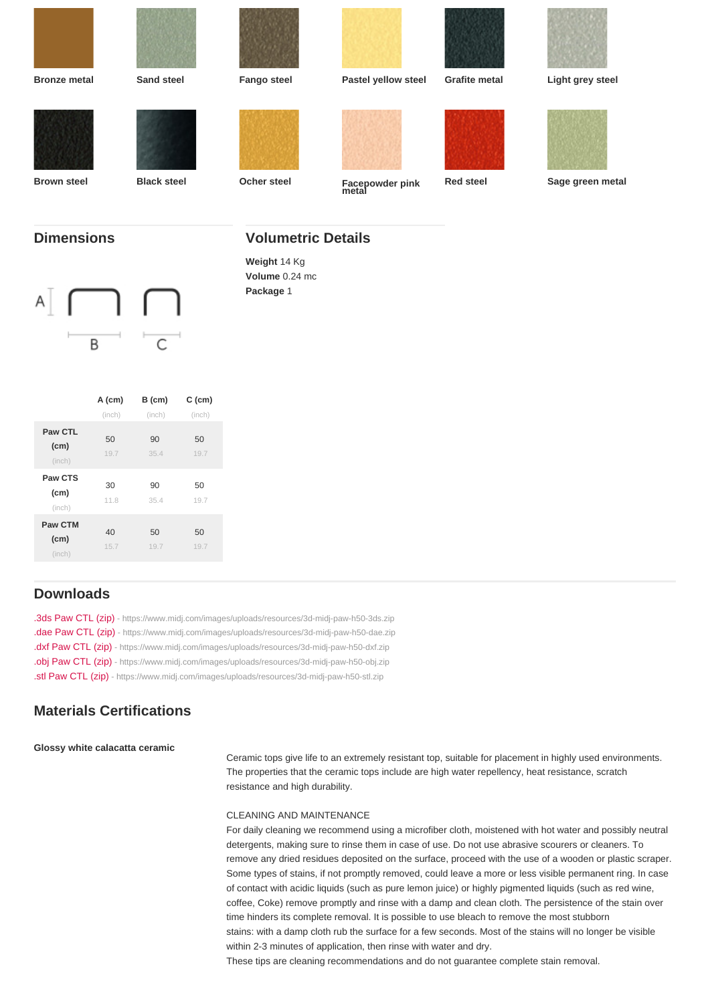| Bronze metal      | Sand steel                | Fango steel    | Pastel yellow steel      | Grafite metal | Light grey steel |
|-------------------|---------------------------|----------------|--------------------------|---------------|------------------|
|                   |                           |                |                          |               |                  |
|                   |                           |                |                          |               |                  |
|                   |                           |                |                          |               |                  |
|                   |                           |                |                          |               |                  |
| Brown steel       | <b>Black steel</b>        | Ocher steel    | Facepowder pink<br>metal | Red steel     | Sage green metal |
|                   |                           |                |                          |               |                  |
| <b>Dimensions</b> | <b>Volumetric Details</b> |                |                          |               |                  |
|                   |                           | Weight 14 Kg   |                          |               |                  |
|                   |                           | Volume 0.24 mc |                          |               |                  |
|                   |                           | Package 1      |                          |               |                  |

|                           | $A$ (cm)   | $B$ (cm)   | $C$ (cm)   |
|---------------------------|------------|------------|------------|
|                           | (inch)     | (inch)     | (inch)     |
| Paw CTL<br>(cm)<br>(inch) | 50<br>19.7 | 90<br>35.4 | 50<br>19.7 |
| Paw CTS<br>(cm)<br>(inch) | 30<br>11.8 | 90<br>35.4 | 50<br>19.7 |
| Paw CTM<br>(cm)<br>(inch) | 40<br>15.7 | 50<br>19.7 | 50<br>19.7 |

### Downloads

[.3ds Paw CTL \(zip\)](https://www.midj.com/images/uploads/resources/3d-midj-paw-h50-3ds.zip) [- https://www.midj.com/images/uploads/resources/3d-midj-paw-h50-3ds.zip](https://www.midj.com/images/uploads/resources/3d-midj-paw-h50-3ds.zip) [.dae Paw CTL \(zip\)](https://www.midj.com/images/uploads/resources/3d-midj-paw-h50-dae.zip) [- https://www.midj.com/images/uploads/resources/3d-midj-paw-h50-dae.zip](https://www.midj.com/images/uploads/resources/3d-midj-paw-h50-dae.zip) [.dxf Paw CTL \(zip\)](https://www.midj.com/images/uploads/resources/3d-midj-paw-h50-dxf.zip) [- https://www.midj.com/images/uploads/resources/3d-midj-paw-h50-dxf.zip](https://www.midj.com/images/uploads/resources/3d-midj-paw-h50-dxf.zip) [.obj Paw CTL \(zip\)](https://www.midj.com/images/uploads/resources/3d-midj-paw-h50-obj.zip) [- https://www.midj.com/images/uploads/resources/3d-midj-paw-h50-obj.zip](https://www.midj.com/images/uploads/resources/3d-midj-paw-h50-obj.zip) [.stl Paw CTL \(zip\)](https://www.midj.com/images/uploads/resources/3d-midj-paw-h50-stl.zip) [- https://www.midj.com/images/uploads/resources/3d-midj-paw-h50-stl.zip](https://www.midj.com/images/uploads/resources/3d-midj-paw-h50-stl.zip)

#### Materials Certifications

Glossy white calacatta ceramic

Ceramic tops give life to an extremely resistant top, suitable for placement in highly used environments. The properties that the ceramic tops include are high water repellency, heat resistance, scratch resistance and high durability.

#### CLEANING AND MAINTENANCE

For daily cleaning we recommend using a microfiber cloth, moistened with hot water and possibly neutral detergents, making sure to rinse them in case of use. Do not use abrasive scourers or cleaners. To remove any dried residues deposited on the surface, proceed with the use of a wooden or plastic scraper. Some types of stains, if not promptly removed, could leave a more or less visible permanent ring. In case of contact with acidic liquids (such as pure lemon juice) or highly pigmented liquids (such as red wine, coffee, Coke) remove promptly and rinse with a damp and clean cloth. The persistence of the stain over time hinders its complete removal. It is possible to use bleach to remove the most stubborn stains: with a damp cloth rub the surface for a few seconds. Most of the stains will no longer be visible within 2-3 minutes of application, then rinse with water and dry.

These tips are cleaning recommendations and do not guarantee complete stain removal.